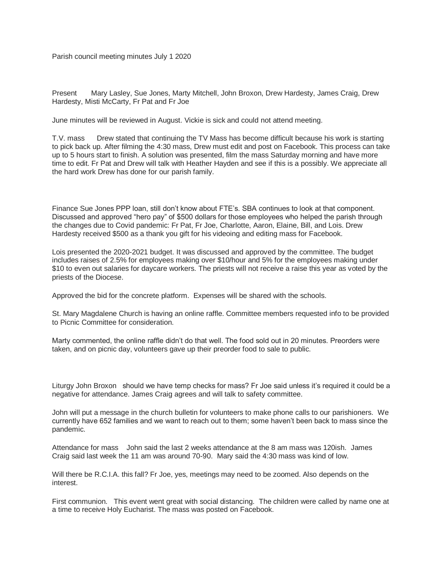Parish council meeting minutes July 1 2020

Present Mary Lasley, Sue Jones, Marty Mitchell, John Broxon, Drew Hardesty, James Craig, Drew Hardesty, Misti McCarty, Fr Pat and Fr Joe

June minutes will be reviewed in August. Vickie is sick and could not attend meeting.

T.V. mass Drew stated that continuing the TV Mass has become difficult because his work is starting to pick back up. After filming the 4:30 mass, Drew must edit and post on Facebook. This process can take up to 5 hours start to finish. A solution was presented, film the mass Saturday morning and have more time to edit. Fr Pat and Drew will talk with Heather Hayden and see if this is a possibly. We appreciate all the hard work Drew has done for our parish family.

Finance Sue Jones PPP loan, still don't know about FTE's. SBA continues to look at that component. Discussed and approved "hero pay" of \$500 dollars for those employees who helped the parish through the changes due to Covid pandemic: Fr Pat, Fr Joe, Charlotte, Aaron, Elaine, Bill, and Lois. Drew Hardesty received \$500 as a thank you gift for his videoing and editing mass for Facebook.

Lois presented the 2020-2021 budget. It was discussed and approved by the committee. The budget includes raises of 2.5% for employees making over \$10/hour and 5% for the employees making under \$10 to even out salaries for daycare workers. The priests will not receive a raise this year as voted by the priests of the Diocese.

Approved the bid for the concrete platform. Expenses will be shared with the schools.

St. Mary Magdalene Church is having an online raffle. Committee members requested info to be provided to Picnic Committee for consideration.

Marty commented, the online raffle didn't do that well. The food sold out in 20 minutes. Preorders were taken, and on picnic day, volunteers gave up their preorder food to sale to public.

Liturgy John Broxon should we have temp checks for mass? Fr Joe said unless it's required it could be a negative for attendance. James Craig agrees and will talk to safety committee.

John will put a message in the church bulletin for volunteers to make phone calls to our parishioners. We currently have 652 families and we want to reach out to them; some haven't been back to mass since the pandemic.

Attendance for mass John said the last 2 weeks attendance at the 8 am mass was 120ish. James Craig said last week the 11 am was around 70-90. Mary said the 4:30 mass was kind of low.

Will there be R.C.I.A. this fall? Fr Joe, yes, meetings may need to be zoomed. Also depends on the interest.

First communion. This event went great with social distancing. The children were called by name one at a time to receive Holy Eucharist. The mass was posted on Facebook.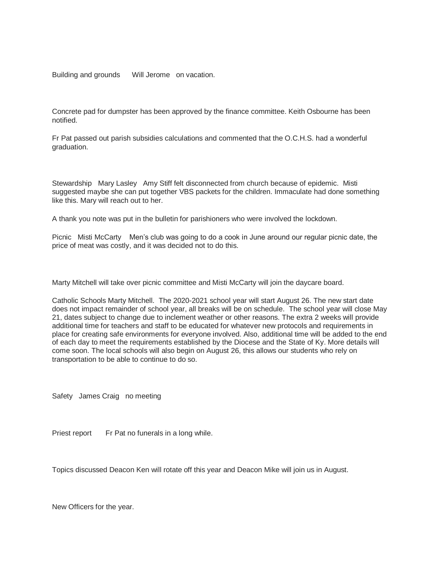Building and grounds Will Jerome on vacation.

Concrete pad for dumpster has been approved by the finance committee. Keith Osbourne has been notified.

Fr Pat passed out parish subsidies calculations and commented that the O.C.H.S. had a wonderful graduation.

Stewardship Mary Lasley Amy Stiff felt disconnected from church because of epidemic. Misti suggested maybe she can put together VBS packets for the children. Immaculate had done something like this. Mary will reach out to her.

A thank you note was put in the bulletin for parishioners who were involved the lockdown.

Picnic Misti McCarty Men's club was going to do a cook in June around our regular picnic date, the price of meat was costly, and it was decided not to do this.

Marty Mitchell will take over picnic committee and Misti McCarty will join the daycare board.

Catholic Schools Marty Mitchell. The 2020-2021 school year will start August 26. The new start date does not impact remainder of school year, all breaks will be on schedule. The school year will close May 21, dates subject to change due to inclement weather or other reasons. The extra 2 weeks will provide additional time for teachers and staff to be educated for whatever new protocols and requirements in place for creating safe environments for everyone involved. Also, additional time will be added to the end of each day to meet the requirements established by the Diocese and the State of Ky. More details will come soon. The local schools will also begin on August 26, this allows our students who rely on transportation to be able to continue to do so.

Safety James Craig no meeting

Priest report Fr Pat no funerals in a long while.

Topics discussed Deacon Ken will rotate off this year and Deacon Mike will join us in August.

New Officers for the year.